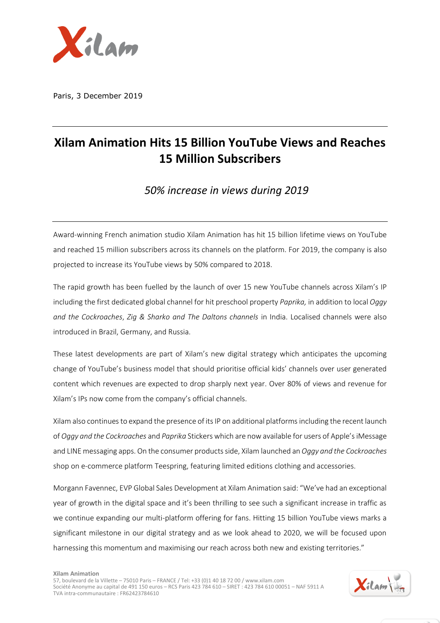

Paris, 3 December 2019

## **Xilam Animation Hits 15 Billion YouTube Views and Reaches 15 Million Subscribers**

*50% increase in views during 2019*

Award-winning French animation studio Xilam Animation has hit 15 billion lifetime views on YouTube and reached 15 million subscribers across its channels on the platform. For 2019, the company is also projected to increase its YouTube views by 50% compared to 2018.

The rapid growth has been fuelled by the launch of over 15 new YouTube channels across Xilam's IP including the first dedicated global channel for hit preschool property *Paprika,* in addition to local *Oggy and the Cockroaches*, *Zig & Sharko and The Daltons channels* in India. Localised channels were also introduced in Brazil, Germany, and Russia.

These latest developments are part of Xilam's new digital strategy which anticipates the upcoming change of YouTube's business model that should prioritise official kids' channels over user generated content which revenues are expected to drop sharply next year. Over 80% of views and revenue for Xilam's IPs now come from the company's official channels.

Xilam also continues to expand the presence of its IP on additional platformsincluding the recent launch of *Oggy and the Cockroaches* and *Paprika* Stickers which are now available for users of Apple's iMessage and LINE messaging apps. On the consumer products side, Xilam launched an *Oggy and the Cockroaches* shop on e-commerce platform Teespring, featuring limited editions clothing and accessories.

Morgann Favennec, EVP Global Sales Development at Xilam Animation said: "We've had an exceptional year of growth in the digital space and it's been thrilling to see such a significant increase in traffic as we continue expanding our multi-platform offering for fans. Hitting 15 billion YouTube views marks a significant milestone in our digital strategy and as we look ahead to 2020, we will be focused upon harnessing this momentum and maximising our reach across both new and existing territories."